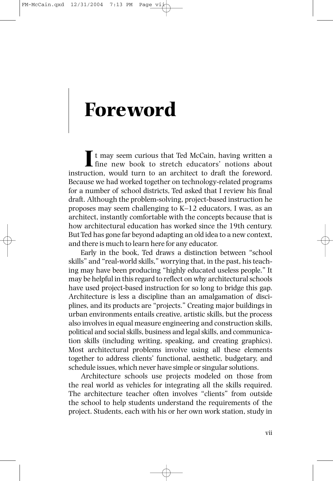## **Foreword**

It may seem curious that Ted McCain, having written a fine new book to stretch educators' notions about instruction, would turn to an architect to draft the foreword. Because we had worked together on technology-related programs for a number of school districts, Ted asked that I review his final draft. Although the problem-solving, project-based instruction he proposes may seem challenging to K–12 educators, I was, as an architect, instantly comfortable with the concepts because that is how architectural education has worked since the 19th century. But Ted has gone far beyond adapting an old idea to a new context, and there is much to learn here for any educator.

Early in the book, Ted draws a distinction between "school skills" and "real-world skills," worrying that, in the past, his teaching may have been producing "highly educated useless people." It may be helpful in this regard to reflect on why architectural schools have used project-based instruction for so long to bridge this gap. Architecture is less a discipline than an amalgamation of disciplines, and its products are "projects." Creating major buildings in urban environments entails creative, artistic skills, but the process also involves in equal measure engineering and construction skills, political and social skills, business and legal skills, and communication skills (including writing, speaking, and creating graphics). Most architectural problems involve using all these elements together to address clients' functional, aesthetic, budgetary, and schedule issues, which never have simple or singular solutions.

Architecture schools use projects modeled on those from the real world as vehicles for integrating all the skills required. The architecture teacher often involves "clients" from outside the school to help students understand the requirements of the project. Students, each with his or her own work station, study in